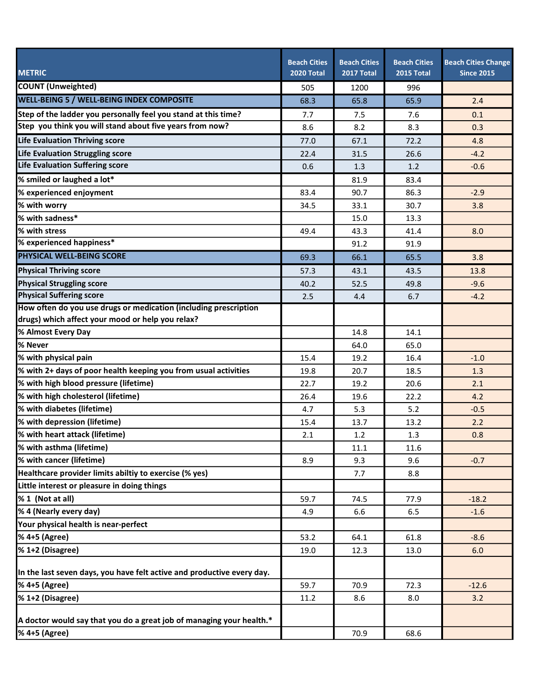|                                                                        | <b>Beach Cities</b> | <b>Beach Cities</b> | <b>Beach Cities</b> | <b>Beach Cities Change</b> |
|------------------------------------------------------------------------|---------------------|---------------------|---------------------|----------------------------|
| <b>METRIC</b>                                                          | <b>2020 Total</b>   | 2017 Total          | 2015 Total          | <b>Since 2015</b>          |
| <b>COUNT (Unweighted)</b>                                              | 505                 | 1200                | 996                 |                            |
| <b>WELL-BEING 5 / WELL-BEING INDEX COMPOSITE</b>                       | 68.3                | 65.8                | 65.9                | 2.4                        |
| Step of the ladder you personally feel you stand at this time?         | 7.7                 | 7.5                 | 7.6                 | 0.1                        |
| Step you think you will stand about five years from now?               | 8.6                 | 8.2                 | 8.3                 | 0.3                        |
| Life Evaluation Thriving score                                         | 77.0                | 67.1                | 72.2                | 4.8                        |
| Life Evaluation Struggling score                                       | 22.4                | 31.5                | 26.6                | $-4.2$                     |
| Life Evaluation Suffering score                                        | 0.6                 | 1.3                 | 1.2                 | $-0.6$                     |
| % smiled or laughed a lot*                                             |                     | 81.9                | 83.4                |                            |
| % experienced enjoyment                                                | 83.4                | 90.7                | 86.3                | $-2.9$                     |
| % with worry                                                           | 34.5                | 33.1                | 30.7                | 3.8                        |
| % with sadness*                                                        |                     | 15.0                | 13.3                |                            |
| % with stress                                                          | 49.4                | 43.3                | 41.4                | 8.0                        |
| % experienced happiness*                                               |                     | 91.2                | 91.9                |                            |
| <b>PHYSICAL WELL-BEING SCORE</b>                                       | 69.3                | 66.1                | 65.5                | 3.8                        |
| <b>Physical Thriving score</b>                                         | 57.3                | 43.1                | 43.5                | 13.8                       |
| <b>Physical Struggling score</b>                                       | 40.2                | 52.5                | 49.8                | $-9.6$                     |
| <b>Physical Suffering score</b>                                        | 2.5                 | 4.4                 | 6.7                 | $-4.2$                     |
| How often do you use drugs or medication (including prescription       |                     |                     |                     |                            |
| drugs) which affect your mood or help you relax?                       |                     |                     |                     |                            |
| % Almost Every Day                                                     |                     | 14.8                | 14.1                |                            |
| % Never                                                                |                     | 64.0                | 65.0                |                            |
| % with physical pain                                                   | 15.4                | 19.2                | 16.4                | $-1.0$                     |
| % with 2+ days of poor health keeping you from usual activities        | 19.8                | 20.7                | 18.5                | 1.3                        |
| % with high blood pressure (lifetime)                                  | 22.7                | 19.2                | 20.6                | 2.1                        |
| % with high cholesterol (lifetime)                                     | 26.4                | 19.6                | 22.2                | 4.2                        |
| % with diabetes (lifetime)                                             | 4.7                 | 5.3                 | 5.2                 | $-0.5$                     |
| % with depression (lifetime)                                           | 15.4                | 13.7                | 13.2                | 2.2                        |
| % with heart attack (lifetime)                                         | 2.1                 | 1.2                 | 1.3                 | 0.8                        |
| % with asthma (lifetime)                                               |                     | 11.1                | 11.6                |                            |
| % with cancer (lifetime)                                               | 8.9                 | 9.3                 | 9.6                 | $-0.7$                     |
| Healthcare provider limits abiltiy to exercise (% yes)                 |                     | 7.7                 | 8.8                 |                            |
| Little interest or pleasure in doing things                            |                     |                     |                     |                            |
| % 1 (Not at all)                                                       | 59.7                | 74.5                | 77.9                | $-18.2$                    |
| % 4 (Nearly every day)                                                 | 4.9                 | 6.6                 | 6.5                 | $-1.6$                     |
| Your physical health is near-perfect                                   |                     |                     |                     |                            |
| % 4+5 (Agree)                                                          | 53.2                | 64.1                | 61.8                | $-8.6$                     |
| % 1+2 (Disagree)                                                       | 19.0                | 12.3                | 13.0                | 6.0                        |
| In the last seven days, you have felt active and productive every day. |                     |                     |                     |                            |
| % 4+5 (Agree)                                                          | 59.7                | 70.9                | 72.3                | $-12.6$                    |
| % 1+2 (Disagree)                                                       | 11.2                | 8.6                 | 8.0                 | 3.2                        |
|                                                                        |                     |                     |                     |                            |
| A doctor would say that you do a great job of managing your health.*   |                     |                     |                     |                            |
| % 4+5 (Agree)                                                          |                     | 70.9                | 68.6                |                            |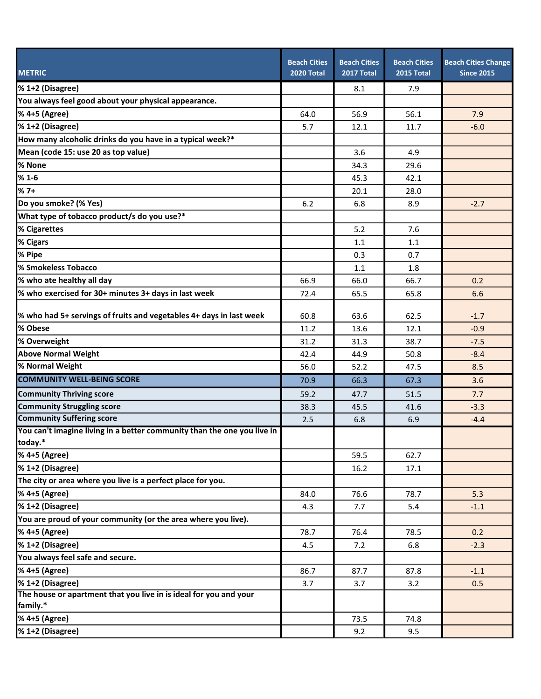| <b>METRIC</b>                                                                      | <b>Beach Cities</b><br><b>2020 Total</b> | <b>Beach Cities</b><br>2017 Total | <b>Beach Cities</b><br>2015 Total | <b>Beach Cities Change</b><br><b>Since 2015</b> |
|------------------------------------------------------------------------------------|------------------------------------------|-----------------------------------|-----------------------------------|-------------------------------------------------|
| % 1+2 (Disagree)                                                                   |                                          | 8.1                               | 7.9                               |                                                 |
| You always feel good about your physical appearance.                               |                                          |                                   |                                   |                                                 |
| % 4+5 (Agree)                                                                      | 64.0                                     | 56.9                              | 56.1                              | 7.9                                             |
| % 1+2 (Disagree)                                                                   | 5.7                                      | 12.1                              | 11.7                              | $-6.0$                                          |
| How many alcoholic drinks do you have in a typical week?*                          |                                          |                                   |                                   |                                                 |
| Mean (code 15: use 20 as top value)                                                |                                          | 3.6                               | 4.9                               |                                                 |
| % None                                                                             |                                          | 34.3                              | 29.6                              |                                                 |
| $%1-6$                                                                             |                                          | 45.3                              | 42.1                              |                                                 |
| $%7+$                                                                              |                                          | 20.1                              | 28.0                              |                                                 |
| Do you smoke? (% Yes)                                                              | 6.2                                      | 6.8                               | 8.9                               | $-2.7$                                          |
| What type of tobacco product/s do you use?*                                        |                                          |                                   |                                   |                                                 |
| % Cigarettes                                                                       |                                          | 5.2                               | 7.6                               |                                                 |
| % Cigars                                                                           |                                          | 1.1                               | 1.1                               |                                                 |
| % Pipe                                                                             |                                          | 0.3                               | 0.7                               |                                                 |
| % Smokeless Tobacco                                                                |                                          | 1.1                               | 1.8                               |                                                 |
| % who ate healthy all day                                                          | 66.9                                     | 66.0                              | 66.7                              | 0.2                                             |
| % who exercised for 30+ minutes 3+ days in last week                               | 72.4                                     | 65.5                              | 65.8                              | 6.6                                             |
| % who had 5+ servings of fruits and vegetables 4+ days in last week                | 60.8                                     | 63.6                              | 62.5                              | $-1.7$                                          |
| % Obese                                                                            | 11.2                                     | 13.6                              | 12.1                              | $-0.9$                                          |
| % Overweight                                                                       | 31.2                                     | 31.3                              | 38.7                              | $-7.5$                                          |
| <b>Above Normal Weight</b>                                                         | 42.4                                     | 44.9                              | 50.8                              | $-8.4$                                          |
| % Normal Weight                                                                    | 56.0                                     | 52.2                              | 47.5                              | 8.5                                             |
| <b>COMMUNITY WELL-BEING SCORE</b>                                                  | 70.9                                     | 66.3                              | 67.3                              | 3.6                                             |
| <b>Community Thriving score</b>                                                    | 59.2                                     | 47.7                              | 51.5                              | 7.7                                             |
| <b>Community Struggling score</b>                                                  | 38.3                                     | 45.5                              | 41.6                              | $-3.3$                                          |
| <b>Community Suffering score</b>                                                   | 2.5                                      | 6.8                               | 6.9                               | $-4.4$                                          |
| You can't imagine living in a better community than the one you live in<br>today.* |                                          |                                   |                                   |                                                 |
| % 4+5 (Agree)                                                                      |                                          | 59.5                              | 62.7                              |                                                 |
| % 1+2 (Disagree)                                                                   |                                          | 16.2                              | 17.1                              |                                                 |
| The city or area where you live is a perfect place for you.                        |                                          |                                   |                                   |                                                 |
| % 4+5 (Agree)                                                                      | 84.0                                     | 76.6                              | 78.7                              | 5.3                                             |
| % 1+2 (Disagree)                                                                   | 4.3                                      | 7.7                               | 5.4                               | $-1.1$                                          |
| You are proud of your community (or the area where you live).                      |                                          |                                   |                                   |                                                 |
| % 4+5 (Agree)                                                                      | 78.7                                     | 76.4                              | 78.5                              | 0.2                                             |
| % 1+2 (Disagree)                                                                   | 4.5                                      | 7.2                               | 6.8                               | $-2.3$                                          |
| You always feel safe and secure.                                                   |                                          |                                   |                                   |                                                 |
| % 4+5 (Agree)                                                                      | 86.7                                     | 87.7                              | 87.8                              | $-1.1$                                          |
| % 1+2 (Disagree)                                                                   | 3.7                                      | 3.7                               | 3.2                               | 0.5                                             |
| The house or apartment that you live in is ideal for you and your<br>family.*      |                                          |                                   |                                   |                                                 |
| % 4+5 (Agree)                                                                      |                                          | 73.5                              | 74.8                              |                                                 |
| % 1+2 (Disagree)                                                                   |                                          | 9.2                               | 9.5                               |                                                 |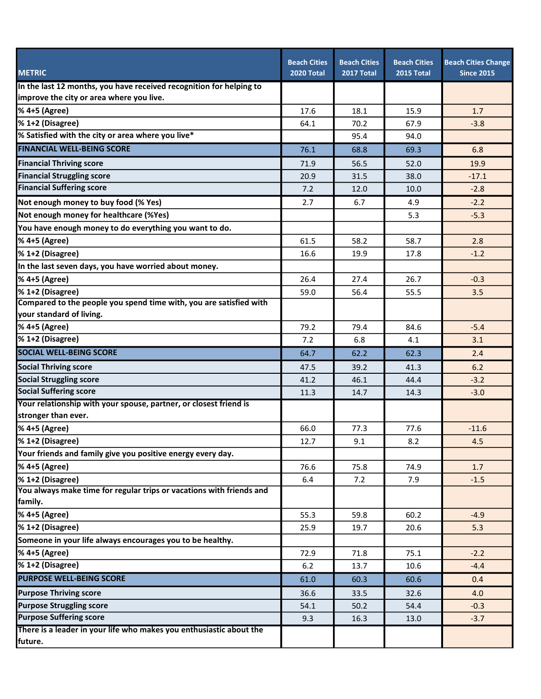| <b>METRIC</b>                                                                   | <b>Beach Cities</b><br><b>2020 Total</b> | <b>Beach Cities</b><br>2017 Total | <b>Beach Cities</b><br>2015 Total | <b>Beach Cities Change</b><br><b>Since 2015</b> |
|---------------------------------------------------------------------------------|------------------------------------------|-----------------------------------|-----------------------------------|-------------------------------------------------|
| In the last 12 months, you have received recognition for helping to             |                                          |                                   |                                   |                                                 |
| improve the city or area where you live.                                        |                                          |                                   |                                   |                                                 |
| % 4+5 (Agree)                                                                   | 17.6                                     | 18.1                              | 15.9                              | 1.7                                             |
| % 1+2 (Disagree)                                                                | 64.1                                     | 70.2                              | 67.9                              | $-3.8$                                          |
| % Satisfied with the city or area where you live*                               |                                          | 95.4                              | 94.0                              |                                                 |
| <b>FINANCIAL WELL-BEING SCORE</b>                                               | 76.1                                     | 68.8                              | 69.3                              | 6.8                                             |
| <b>Financial Thriving score</b>                                                 | 71.9                                     | 56.5                              | 52.0                              | 19.9                                            |
| <b>Financial Struggling score</b>                                               | 20.9                                     | 31.5                              | 38.0                              | $-17.1$                                         |
| <b>Financial Suffering score</b>                                                | 7.2                                      | 12.0                              | 10.0                              | $-2.8$                                          |
| Not enough money to buy food (% Yes)                                            | 2.7                                      | 6.7                               | 4.9                               | $-2.2$                                          |
| Not enough money for healthcare (%Yes)                                          |                                          |                                   | 5.3                               | $-5.3$                                          |
| You have enough money to do everything you want to do.                          |                                          |                                   |                                   |                                                 |
| % 4+5 (Agree)                                                                   | 61.5                                     | 58.2                              | 58.7                              | 2.8                                             |
| % 1+2 (Disagree)                                                                | 16.6                                     | 19.9                              | 17.8                              | $-1.2$                                          |
| In the last seven days, you have worried about money.                           |                                          |                                   |                                   |                                                 |
| % 4+5 (Agree)                                                                   | 26.4                                     | 27.4                              | 26.7                              | $-0.3$                                          |
| % 1+2 (Disagree)                                                                | 59.0                                     | 56.4                              | 55.5                              | 3.5                                             |
| Compared to the people you spend time with, you are satisfied with              |                                          |                                   |                                   |                                                 |
| your standard of living.                                                        |                                          |                                   |                                   |                                                 |
| % 4+5 (Agree)                                                                   | 79.2                                     | 79.4                              | 84.6                              | $-5.4$                                          |
| % 1+2 (Disagree)                                                                | 7.2                                      | 6.8                               | 4.1                               | 3.1                                             |
| <b>SOCIAL WELL-BEING SCORE</b>                                                  | 64.7                                     | 62.2                              | 62.3                              | 2.4                                             |
| <b>Social Thriving score</b>                                                    | 47.5                                     | 39.2                              | 41.3                              | 6.2                                             |
| <b>Social Struggling score</b>                                                  | 41.2                                     | 46.1                              | 44.4                              | $-3.2$                                          |
| <b>Social Suffering score</b>                                                   | 11.3                                     | 14.7                              | 14.3                              | $-3.0$                                          |
| Your relationship with your spouse, partner, or closest friend is               |                                          |                                   |                                   |                                                 |
| stronger than ever.                                                             |                                          |                                   |                                   |                                                 |
| % 4+5 (Agree)                                                                   | 66.0                                     | 77.3                              | 77.6                              | $-11.6$                                         |
| % 1+2 (Disagree)                                                                | 12.7                                     | 9.1                               | 8.2                               | 4.5                                             |
| Your friends and family give you positive energy every day.                     |                                          |                                   |                                   |                                                 |
| % 4+5 (Agree)                                                                   | 76.6                                     | 75.8                              | 74.9                              | 1.7                                             |
| % 1+2 (Disagree)                                                                | 6.4                                      | 7.2                               | 7.9                               | $-1.5$                                          |
| You always make time for regular trips or vacations with friends and<br>family. |                                          |                                   |                                   |                                                 |
| % 4+5 (Agree)                                                                   | 55.3                                     | 59.8                              | 60.2                              | $-4.9$                                          |
| % 1+2 (Disagree)                                                                | 25.9                                     | 19.7                              | 20.6                              | 5.3                                             |
| Someone in your life always encourages you to be healthy.                       |                                          |                                   |                                   |                                                 |
| % 4+5 (Agree)                                                                   | 72.9                                     | 71.8                              | 75.1                              | $-2.2$                                          |
| % 1+2 (Disagree)                                                                | $6.2$                                    | 13.7                              | 10.6                              | $-4.4$                                          |
| <b>PURPOSE WELL-BEING SCORE</b>                                                 | 61.0                                     | 60.3                              | 60.6                              | 0.4                                             |
| <b>Purpose Thriving score</b>                                                   | 36.6                                     | 33.5                              | 32.6                              | 4.0                                             |
| <b>Purpose Struggling score</b>                                                 | 54.1                                     | 50.2                              | 54.4                              | $-0.3$                                          |
| <b>Purpose Suffering score</b>                                                  | 9.3                                      | 16.3                              | 13.0                              | $-3.7$                                          |
| There is a leader in your life who makes you enthusiastic about the             |                                          |                                   |                                   |                                                 |
| future.                                                                         |                                          |                                   |                                   |                                                 |